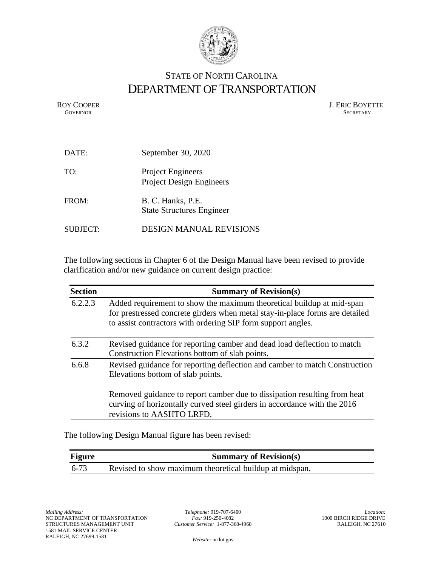

## STATE OF NORTH CAROLINA DEPARTMENT OF TRANSPORTATION

ROY COOPER J. ERIC BOYETTE GOVERNOR SECRETARY **GOVERNOR** SECRETARY

| DATE:           | September 30, 2020                                          |
|-----------------|-------------------------------------------------------------|
| TO:             | <b>Project Engineers</b><br><b>Project Design Engineers</b> |
| FROM:           | B. C. Hanks, P.E.<br><b>State Structures Engineer</b>       |
| <b>SUBJECT:</b> | <b>DESIGN MANUAL REVISIONS</b>                              |

The following sections in Chapter 6 of the Design Manual have been revised to provide clarification and/or new guidance on current design practice:

| <b>Section</b> | <b>Summary of Revision(s)</b>                                                                                                                                                                                         |
|----------------|-----------------------------------------------------------------------------------------------------------------------------------------------------------------------------------------------------------------------|
| 6.2.2.3        | Added requirement to show the maximum theoretical buildup at mid-span<br>for prestressed concrete girders when metal stay-in-place forms are detailed<br>to assist contractors with ordering SIP form support angles. |
| 6.3.2          | Revised guidance for reporting camber and dead load deflection to match<br>Construction Elevations bottom of slab points.                                                                                             |
| 6.6.8          | Revised guidance for reporting deflection and camber to match Construction<br>Elevations bottom of slab points.                                                                                                       |
|                | Removed guidance to report camber due to dissipation resulting from heat<br>curving of horizontally curved steel girders in accordance with the 2016<br>revisions to AASHTO LRFD.                                     |

The following Design Manual figure has been revised:

| <b>Figure</b> | <b>Summary of Revision(s)</b>                           |
|---------------|---------------------------------------------------------|
| 6-73          | Revised to show maximum theoretical buildup at midspan. |